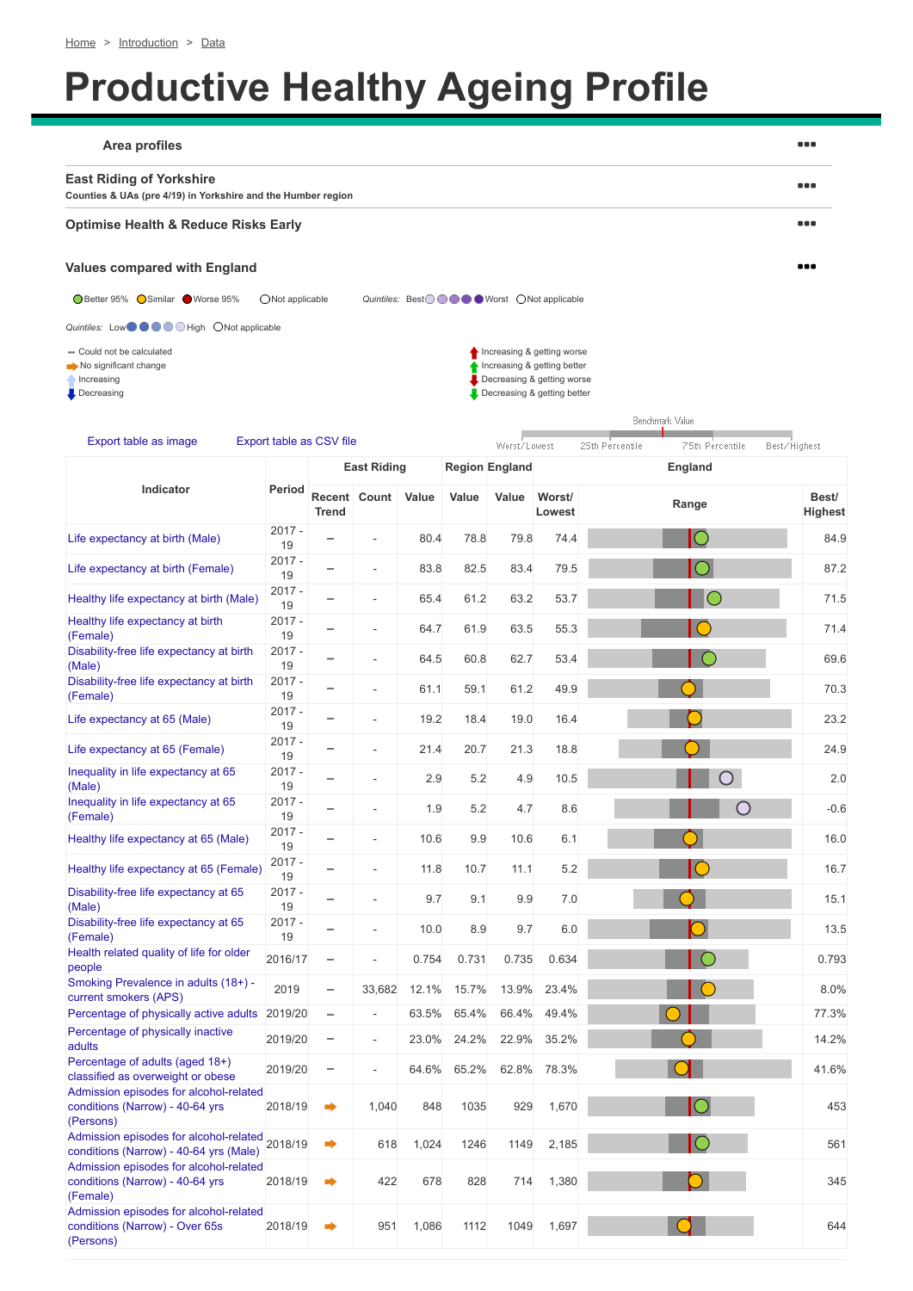| <b>Area profiles</b>                                                                            |                          |                                |                          |       |              |                       |                                                                                         |                                    | 88 C                    |
|-------------------------------------------------------------------------------------------------|--------------------------|--------------------------------|--------------------------|-------|--------------|-----------------------|-----------------------------------------------------------------------------------------|------------------------------------|-------------------------|
| <b>East Riding of Yorkshire</b><br>Counties & UAs (pre 4/19) in Yorkshire and the Humber region |                          |                                |                          |       |              |                       |                                                                                         |                                    | 8 O C                   |
| <b>Optimise Health &amp; Reduce Risks Early</b>                                                 |                          |                                |                          |       |              |                       |                                                                                         |                                    |                         |
| <b>Values compared with England</b>                                                             |                          |                                |                          |       |              |                       |                                                                                         |                                    |                         |
| <b>O</b> Better 95% Similar Worse 95%                                                           | ONot applicable          |                                |                          |       |              |                       | Quintiles: Best O O O O Worst O Not applicable                                          |                                    |                         |
| Quintiles: Low $\bullet$ $\bullet$ $\bullet$ High ONot applicable                               |                          |                                |                          |       |              |                       |                                                                                         |                                    |                         |
| - Could not be calculated<br>No significant change<br>Increasing                                |                          |                                |                          |       |              |                       | Increasing & getting worse<br>Increasing & getting better<br>Decreasing & getting worse |                                    |                         |
| $\Box$ Decreasing                                                                               |                          |                                |                          |       |              |                       | Decreasing & getting better                                                             |                                    |                         |
|                                                                                                 |                          |                                |                          |       |              |                       |                                                                                         | Benchmark Value                    |                         |
| Export table as image                                                                           | Export table as CSV file |                                |                          |       |              | Worst/Lowest          |                                                                                         | 75th Percentile<br>25th Percentile | Best/Highest            |
|                                                                                                 |                          |                                | <b>East Riding</b>       |       |              | <b>Region England</b> |                                                                                         | <b>England</b>                     |                         |
| <b>Indicator</b>                                                                                | <b>Period</b>            | <b>Trend</b>                   | Recent Count             | Value | <b>Value</b> | <b>Value</b>          | Worst/<br><b>Lowest</b>                                                                 | Range                              | Best/<br><b>Highest</b> |
| Life expectancy at birth (Male)                                                                 | $2017 -$<br>19           |                                | $\overline{\phantom{a}}$ | 80.4  | 78.8         | 79.8                  | 74.4                                                                                    |                                    | 84.9                    |
| Life expectancy at birth (Female)                                                               | $2017 -$<br>19           |                                | $\overline{\phantom{a}}$ | 83.8  | 82.5         | 83.4                  | 79.5                                                                                    |                                    | 87.2                    |
| Healthy life expectancy at birth (Male)                                                         | $2017 -$<br>19           |                                |                          | 65.4  | 61.2         | 63.2                  | 53.7                                                                                    |                                    | 71.5                    |
| Healthy life expectancy at birth<br>(Female)                                                    | 2017 -<br>19             |                                |                          | 64.7  | 61.9         | 63.5                  | 55.3                                                                                    |                                    | 71.4                    |
| Disability-free life expectancy at birth<br>(Male)                                              | $2017 -$<br>19           |                                | $\overline{\phantom{a}}$ | 64.5  | 60.8         | 62.7                  | 53.4                                                                                    |                                    | 69.6                    |
| Disability-free life expectancy at birth<br>(Female)                                            | $2017 -$<br>19           |                                | $\overline{\phantom{a}}$ | 61.1  | 59.1         | 61.2                  | 49.9                                                                                    |                                    | 70.3                    |
| Life expectancy at 65 (Male)                                                                    | $2017 -$<br>19           |                                | $\overline{\phantom{a}}$ | 19.2  | 18.4         | 19.0                  | 16.4                                                                                    |                                    | 23.2                    |
| Life expectancy at 65 (Female)                                                                  | $2017 -$<br>19           |                                | $\overline{\phantom{a}}$ | 21.4  | 20.7         | 21.3                  | 18.8                                                                                    |                                    | 24.9                    |
| Inequality in life expectancy at 65<br>(Male)                                                   | $2017 -$<br>19           |                                | $\overline{\phantom{a}}$ | 2.9   | 5.2          | 4.9                   | 10.5                                                                                    |                                    | 2.0                     |
| Inequality in life expectancy at 65<br>(Female)                                                 | $2017 -$<br>19           |                                |                          | 1.9   | 5.2          | 4.7                   | 8.6                                                                                     |                                    | $-0.6$                  |
| Healthy life expectancy at 65 (Male)                                                            | $2017 -$<br>19           |                                | $\overline{\phantom{a}}$ | 10.6  | 9.9          | 10.6                  | 6.1                                                                                     |                                    | 16.0                    |
| Healthy life expectancy at 65 (Female)                                                          | $2017 -$<br>19           |                                | $\overline{\phantom{a}}$ | 11.8  | 10.7         | 11.1                  | 5.2                                                                                     |                                    | 16.7                    |
| Disability-free life expectancy at 65<br>(Male)                                                 | $2017 -$<br>19           |                                | $\overline{\phantom{a}}$ | 9.7   | 9.1          | 9.9                   | 7.0                                                                                     |                                    | 15.1                    |
| Disability-free life expectancy at 65<br>(Female)                                               | $2017 -$<br>19           |                                | $\overline{\phantom{0}}$ | 10.0  | 8.9          | 9.7                   | 6.0                                                                                     |                                    | 13.5                    |
| Health related quality of life for older<br>people                                              | 2016/17                  | $\qquad \qquad \blacksquare$   |                          | 0.754 | 0.731        | 0.735                 | 0.634                                                                                   |                                    | 0.793                   |
| Smoking Prevalence in adults (18+) -<br>current smokers (APS)                                   | 2019                     | $\qquad \qquad$                | 33,682                   | 12.1% | 15.7%        | 13.9%                 | 23.4%                                                                                   |                                    | 8.0%                    |
| Percentage of physically active adults                                                          | 2019/20                  | $\overline{\phantom{0}}$       | $\overline{\phantom{a}}$ | 63.5% | 65.4%        | 66.4%                 | 49.4%                                                                                   |                                    | 77.3%                   |
| Percentage of physically inactive<br>adults                                                     | 2019/20                  | $\qquad \qquad =\qquad \qquad$ | $\overline{\phantom{a}}$ | 23.0% | 24.2%        | 22.9%                 | 35.2%                                                                                   |                                    | 14.2%                   |
| Percentage of adults (aged 18+)<br>classified as overweight or obese                            | 2019/20                  |                                | $\overline{\phantom{0}}$ | 64.6% | 65.2%        | 62.8%                 | 78.3%                                                                                   |                                    | 41.6%                   |
| Admission episodes for alcohol-related<br>conditions (Narrow) - 40-64 yrs<br>(Persons)          | 2018/19                  |                                | 1,040                    | 848   | 1035         | 929                   | 1,670                                                                                   |                                    | 453                     |
| Admission episodes for alcohol-related<br>2018/19<br>conditions (Narrow) - 40-64 yrs (Male)     |                          |                                | 618                      | 1,024 | 1246         | 1149                  | 2,185                                                                                   |                                    | 561                     |
| Admission episodes for alcohol-related<br>conditions (Narrow) - 40-64 yrs<br>(Female)           | 2018/19                  |                                | 422                      | 678   | 828          | 714                   | 1,380                                                                                   |                                    | 345                     |
| Admission episodes for alcohol-related<br>conditions (Narrow) - Over 65s<br>(Persons)           | 2018/19                  |                                | 951                      | 1,086 | 1112         | 1049                  | 1,697                                                                                   |                                    | 644                     |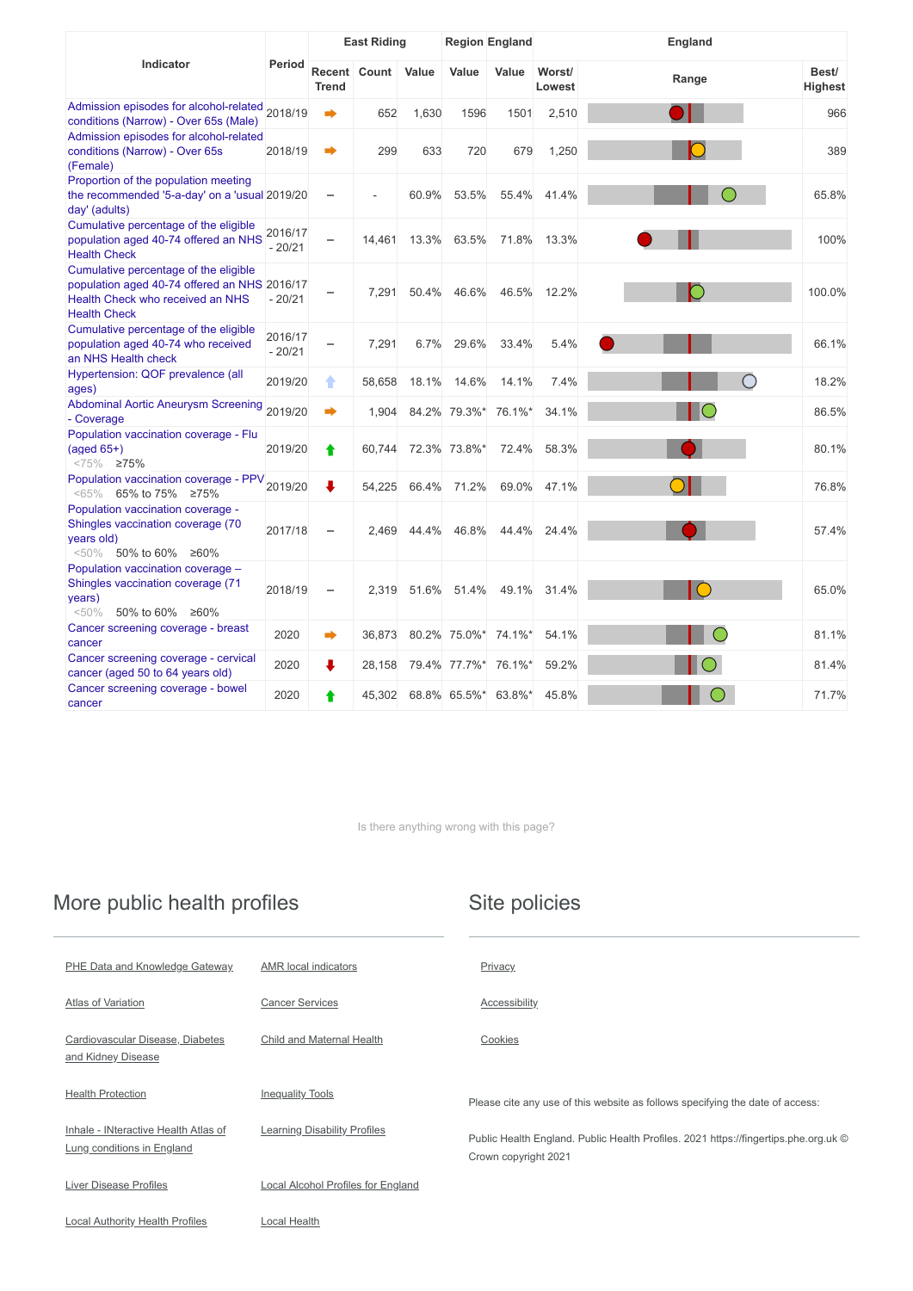|                                                                                                                                                  |                     | <b>East Riding</b> |              |              | <b>Region England</b> |              | <b>England</b>          |       |                         |
|--------------------------------------------------------------------------------------------------------------------------------------------------|---------------------|--------------------|--------------|--------------|-----------------------|--------------|-------------------------|-------|-------------------------|
| Indicator                                                                                                                                        | <b>Period</b>       | <b>Trend</b>       | Recent Count | <b>Value</b> | <b>Value</b>          | <b>Value</b> | Worst/<br><b>Lowest</b> | Range | Best/<br><b>Highest</b> |
| Admission episodes for alcohol-related<br>2018/19<br>conditions (Narrow) - Over 65s (Male)                                                       |                     |                    | 652          | 1,630        | 1596                  | 1501         | 2,510                   |       | 966                     |
| Admission episodes for alcohol-related<br>conditions (Narrow) - Over 65s<br>(Female)                                                             | 2018/19             |                    | 299          | 633          | 720                   | 679          | 1,250                   |       | 389                     |
| Proportion of the population meeting<br>the recommended '5-a-day' on a 'usual 2019/20<br>day' (adults)                                           |                     |                    |              | 60.9%        | 53.5%                 | 55.4%        | 41.4%                   |       | 65.8%                   |
| Cumulative percentage of the eligible<br>population aged 40-74 offered an NHS<br><b>Health Check</b>                                             | 2016/17<br>$-20/21$ |                    | 14,461       | 13.3%        | 63.5%                 | 71.8%        | 13.3%                   |       | 100%                    |
| Cumulative percentage of the eligible<br>population aged 40-74 offered an NHS 2016/17<br>Health Check who received an NHS<br><b>Health Check</b> | $-20/21$            |                    | 7,291        | 50.4%        | 46.6%                 | 46.5%        | 12.2%                   |       | 100.0%                  |
| Cumulative percentage of the eligible<br>population aged 40-74 who received<br>an NHS Health check                                               | 2016/17<br>$-20/21$ |                    | 7,291        | 6.7%         | 29.6%                 | 33.4%        | 5.4%                    |       | 66.1%                   |
| Hypertension: QOF prevalence (all<br>ages)                                                                                                       | 2019/20             | ٠                  | 58,658       | 18.1%        | 14.6%                 | 14.1%        | 7.4%                    |       | 18.2%                   |
| Abdominal Aortic Aneurysm Screening 2019/20<br>- Coverage                                                                                        |                     |                    | 1,904        |              | 84.2% 79.3%*          | 76.1%*       | 34.1%                   |       | 86.5%                   |
| Population vaccination coverage - Flu<br>$(aged 65+)$<br>$<75\%$ 275%                                                                            | 2019/20             | ŧ                  | 60,744       |              | 72.3% 73.8%*          | 72.4%        | 58.3%                   |       | 80.1%                   |
| Population vaccination coverage - PPV 2019/20<br>65% to 75% ≥75%<br>$< 65\%$                                                                     |                     | ÷                  | 54,225       | 66.4%        | 71.2%                 | 69.0%        | 47.1%                   |       | 76.8%                   |
| Population vaccination coverage -<br>Shingles vaccination coverage (70<br>years old)<br>$\leq 50\%$ 50% to 60% ≥60%                              | 2017/18             |                    | 2,469        | 44.4%        | 46.8%                 | 44.4%        | 24.4%                   |       | 57.4%                   |
| Population vaccination coverage -<br>Shingles vaccination coverage (71<br>years)<br>50% to 60% ≥60%<br>< 50%                                     | 2018/19             |                    | 2,319        |              | 51.6% 51.4%           | 49.1%        | 31.4%                   |       | 65.0%                   |
| Cancer screening coverage - breast<br>cancer                                                                                                     | 2020                |                    | 36,873       |              | 80.2% 75.0%*          | 74.1%*       | 54.1%                   |       | 81.1%                   |
| Cancer screening coverage - cervical<br>cancer (aged 50 to 64 years old)                                                                         | 2020                | ÷                  | 28,158       |              | 79.4% 77.7%*          | 76.1%*       | 59.2%                   |       | 81.4%                   |
| Cancer screening coverage - bowel<br>cancer                                                                                                      | 2020                | Ŧ                  | 45,302       |              | 68.8% 65.5%* 63.8%*   |              | 45.8%                   |       | 71.7%                   |

[Inhale - INteractive Health Atlas of](https://fingertips.phe.org.uk/profile/inhale) Lung conditions in England

**[Learning Disability Profiles](https://fingertips.phe.org.uk/profile/learning-disabilities)** 

Is there anything wrong with this page?

#### More public health profiles

[Cardiovascular Disease, Diabetes](https://fingertips.phe.org.uk/profile-group/cardiovascular-disease-diabetes-kidney-disease) and Kidney Disease

[Child and Maternal Health](https://fingertips.phe.org.uk/profile/child-health-profiles)

Please cite any use of this website as follows specifying the date of access:

[Liver Disease Profiles](https://fingertips.phe.org.uk/profile/liver-disease) **[Local Alcohol Profiles for England](https://fingertips.phe.org.uk/profile/local-alcohol-profiles)** 

[Local Authority Health Profiles](https://fingertips.phe.org.uk/profile/health-profiles) **[Local Health](https://fingertips.phe.org.uk/profile/local-health)** 

Public Health England. Public Health Profiles. 2021 https://fingertips.phe.org.uk © Crown copyright 2021

#### Site policies

**[Privacy](https://fingertips.phe.org.uk/information/site-privacy-notice)** 

#### [Atlas of Variation](https://fingertips.phe.org.uk/profile/atlas-of-variation) **[Cancer Services](https://fingertips.phe.org.uk/profile/cancerservices)**

**[Accessibility](https://fingertips.phe.org.uk/information/site-accessibility-statement)** 

[Cookies](https://fingertips.phe.org.uk/information/site-cookies)

[Health Protection](https://fingertips.phe.org.uk/profile/health-protection) **[Inequality Tools](https://fingertips.phe.org.uk/profile/inequality-tools)**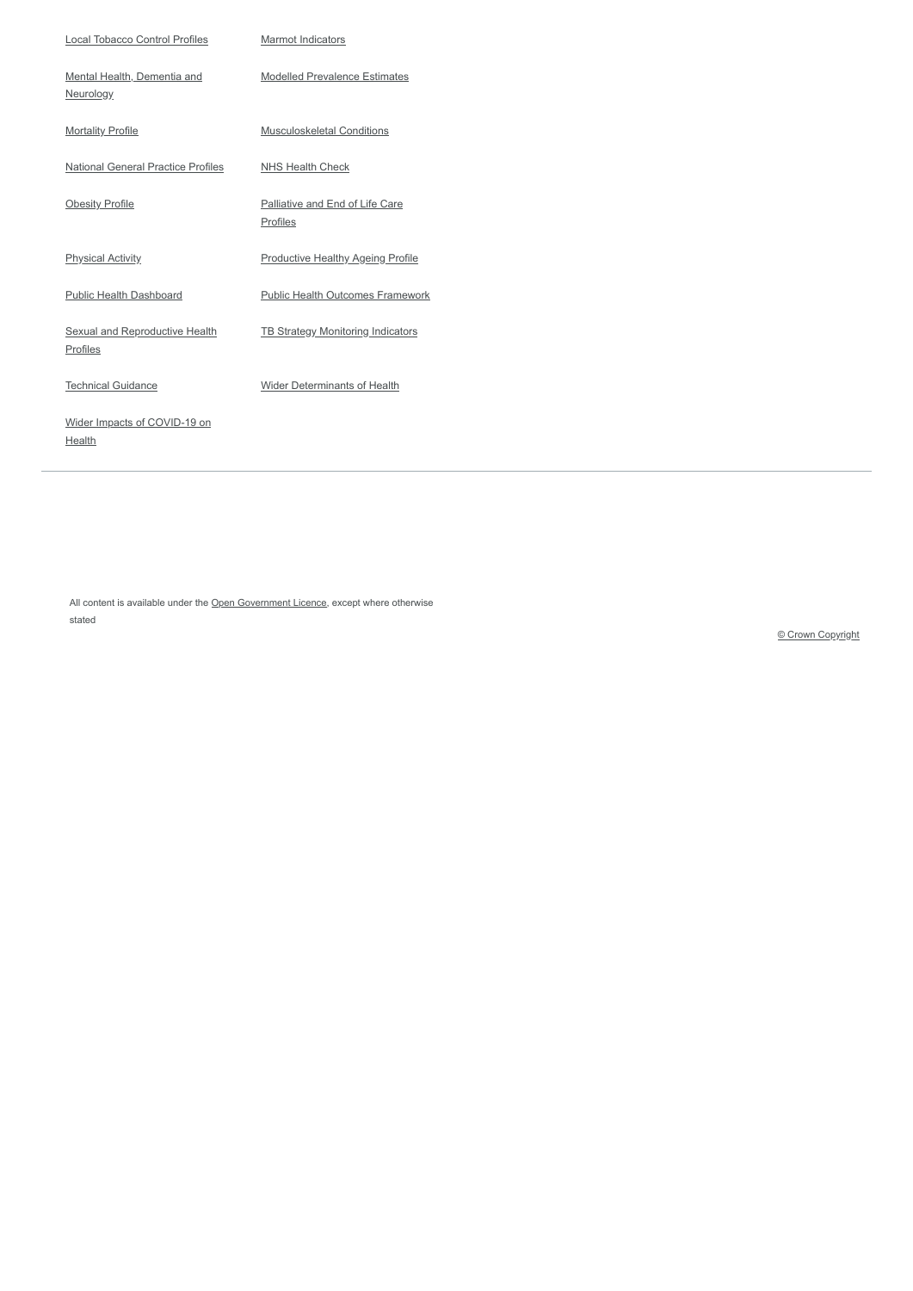| <b>Local Tobacco Control Profiles</b>                    | <b>Marmot Indicators</b>                           |
|----------------------------------------------------------|----------------------------------------------------|
| Mental Health, Dementia and<br>Neurology                 | <b>Modelled Prevalence Estimates</b>               |
| <b>Mortality Profile</b>                                 | <b>Musculoskeletal Conditions</b>                  |
| <b>National General Practice Profiles</b>                | <b>NHS Health Check</b>                            |
| <b>Obesity Profile</b>                                   | <b>Palliative and End of Life Care</b><br>Profiles |
| <b>Physical Activity</b>                                 | <b>Productive Healthy Ageing Profile</b>           |
| <b>Public Health Dashboard</b>                           | <b>Public Health Outcomes Framework</b>            |
| <b>Sexual and Reproductive Health</b><br><b>Profiles</b> | <b>TB Strategy Monitoring Indicators</b>           |
| <b>Technical Guidance</b>                                | <b>Wider Determinants of Health</b>                |
| Wider Impacts of COVID-19 on<br><b>Health</b>            |                                                    |

All content is available under the Open [Government](http://www.nationalarchives.gov.uk/doc/open-government-licence) Licence, except where otherwise stated

© Crown Copyright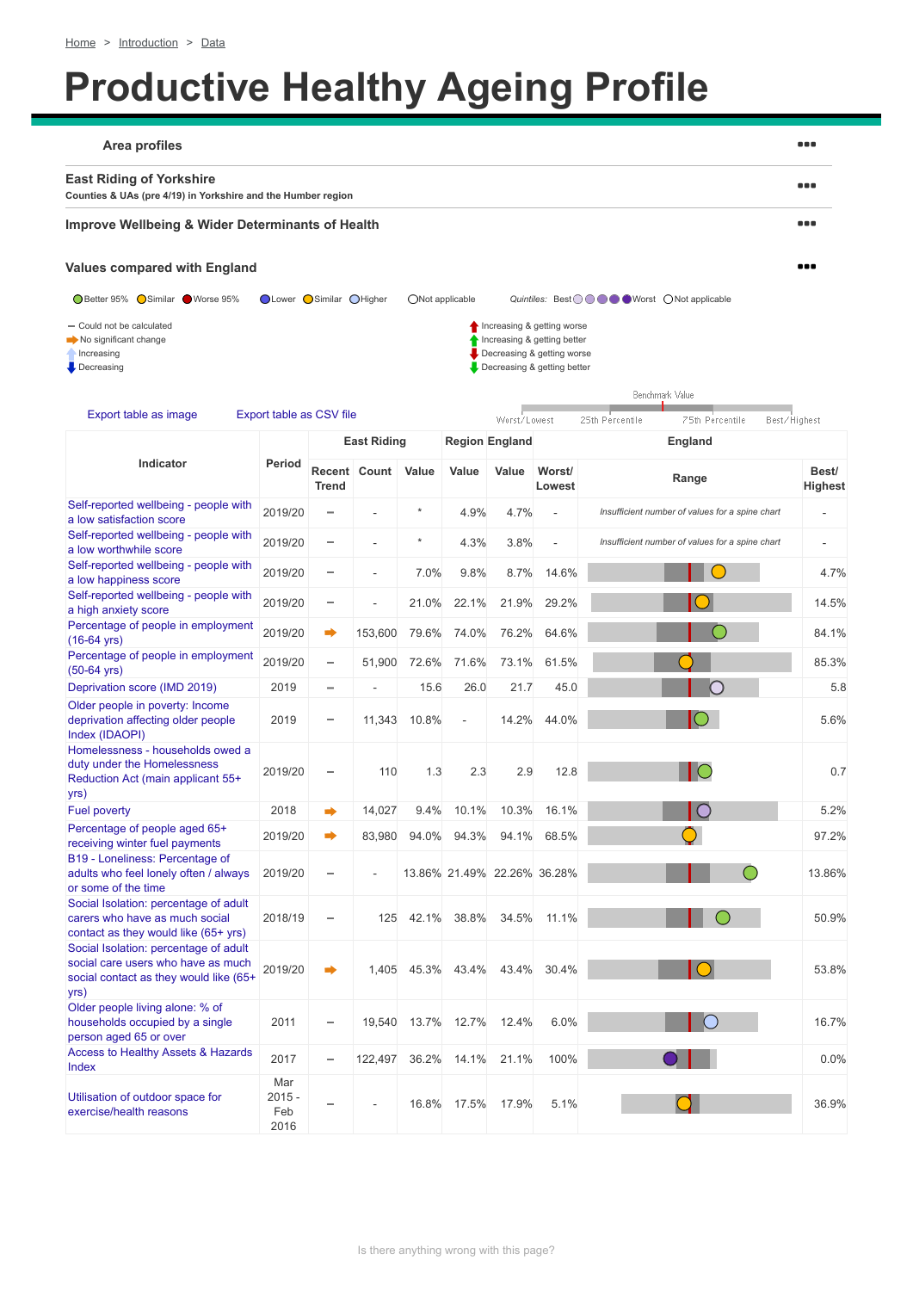<span id="page-3-0"></span>

| <b>Area profiles</b>                                                                                                                                                                                            |                                |                          |                          |              |                          |                             |                          |                                                 | 88 C                     |
|-----------------------------------------------------------------------------------------------------------------------------------------------------------------------------------------------------------------|--------------------------------|--------------------------|--------------------------|--------------|--------------------------|-----------------------------|--------------------------|-------------------------------------------------|--------------------------|
| <b>East Riding of Yorkshire</b><br>Counties & UAs (pre 4/19) in Yorkshire and the Humber region                                                                                                                 |                                |                          |                          |              |                          |                             |                          |                                                 | $\bullet$ $\bullet$ (    |
| <b>Improve Wellbeing &amp; Wider Determinants of Health</b>                                                                                                                                                     |                                |                          |                          |              |                          |                             |                          |                                                 | 88 C                     |
| <b>Values compared with England</b>                                                                                                                                                                             |                                |                          |                          |              |                          |                             |                          |                                                 |                          |
| O Better 95% O Similar ● Worse 95%<br>O Lower O Similar O Higher<br>Quintiles: Best O O O O Worst O Not applicable<br>ONot applicable                                                                           |                                |                          |                          |              |                          |                             |                          |                                                 |                          |
| - Could not be calculated<br>Increasing & getting worse<br>Increasing & getting better<br>No significant change<br>Decreasing & getting worse<br>Increasing<br>Decreasing & getting better<br>$\Box$ Decreasing |                                |                          |                          |              |                          |                             |                          |                                                 |                          |
|                                                                                                                                                                                                                 |                                |                          |                          |              |                          |                             |                          | Benchmark Value                                 |                          |
| Export table as image<br>Export table as CSV file<br>75th Percentile<br>25th Percentile<br>Worst/Lowest<br>Best/Highest                                                                                         |                                |                          |                          |              |                          |                             |                          |                                                 |                          |
|                                                                                                                                                                                                                 |                                |                          | <b>East Riding</b>       |              |                          | <b>Region England</b>       |                          | <b>England</b>                                  |                          |
| <b>Indicator</b>                                                                                                                                                                                                | <b>Period</b>                  | <b>Trend</b>             | Recent Count             | <b>Value</b> | <b>Value</b>             | <b>Value</b>                | Worst/<br><b>Lowest</b>  | Range                                           | Best/<br><b>Highest</b>  |
| Self-reported wellbeing - people with<br>a low satisfaction score                                                                                                                                               | 2019/20                        | -                        |                          | $^{\star}$   | 4.9%                     | 4.7%                        |                          | Insufficient number of values for a spine chart | $\overline{\phantom{a}}$ |
| Self-reported wellbeing - people with<br>a low worthwhile score                                                                                                                                                 | 2019/20                        | $\qquad \qquad$          |                          | $\star$      | 4.3%                     | 3.8%                        | $\overline{\phantom{a}}$ | Insufficient number of values for a spine chart | $\overline{\phantom{a}}$ |
| Self-reported wellbeing - people with<br>a low happiness score                                                                                                                                                  | 2019/20                        | $\qquad \qquad$          | $\overline{\phantom{a}}$ | 7.0%         | 9.8%                     | 8.7%                        | 14.6%                    |                                                 | 4.7%                     |
| Self-reported wellbeing - people with<br>a high anxiety score                                                                                                                                                   | 2019/20                        |                          | $\overline{\phantom{0}}$ | 21.0%        | 22.1%                    | 21.9%                       | 29.2%                    |                                                 | 14.5%                    |
| Percentage of people in employment<br>$(16-64 \text{ yrs})$                                                                                                                                                     | 2019/20                        |                          | 153,600                  | 79.6%        | 74.0%                    | 76.2%                       | 64.6%                    |                                                 | 84.1%                    |
| Percentage of people in employment<br>$(50-64 \text{ yrs})$                                                                                                                                                     | 2019/20                        | $\qquad \qquad$          | 51,900                   | 72.6%        | 71.6%                    | 73.1%                       | 61.5%                    |                                                 | 85.3%                    |
| Deprivation score (IMD 2019)                                                                                                                                                                                    | 2019                           | $\overline{\phantom{0}}$ |                          | 15.6         | 26.0                     | 21.7                        | 45.0                     |                                                 | 5.8                      |
| Older people in poverty: Income<br>deprivation affecting older people<br>Index (IDAOPI)                                                                                                                         | 2019                           | $\qquad \qquad$          | 11,343                   | 10.8%        | $\overline{\phantom{a}}$ | 14.2%                       | 44.0%                    |                                                 | 5.6%                     |
| Homelessness - households owed a<br>duty under the Homelessness<br>Reduction Act (main applicant 55+<br>yrs)                                                                                                    | 2019/20                        | $\qquad \qquad$          | 110                      | 1.3          | 2.3                      | 2.9                         | 12.8                     |                                                 | 0.7                      |
| <b>Fuel poverty</b>                                                                                                                                                                                             | 2018                           | ∙                        | 14,027                   | 9.4%         | 10.1%                    | 10.3%                       | 16.1%                    |                                                 | 5.2%                     |
| Percentage of people aged 65+<br>receiving winter fuel payments                                                                                                                                                 | 2019/20                        | ∙                        | 83,980                   | 94.0%        | 94.3%                    | 94.1%                       | 68.5%                    |                                                 | 97.2%                    |
| B19 - Loneliness: Percentage of<br>adults who feel lonely often / always<br>or some of the time                                                                                                                 | 2019/20                        |                          |                          |              |                          | 13.86% 21.49% 22.26% 36.28% |                          |                                                 | 13.86%                   |
| Social Isolation: percentage of adult<br>carers who have as much social<br>contact as they would like (65+ yrs)                                                                                                 | 2018/19                        | $\overline{\phantom{0}}$ | 125                      | 42.1%        | 38.8%                    | 34.5%                       | 11.1%                    |                                                 | 50.9%                    |
| Social Isolation: percentage of adult<br>social care users who have as much<br>social contact as they would like (65+<br>yrs)                                                                                   | 2019/20                        |                          | 1,405                    | 45.3%        | 43.4%                    | 43.4%                       | 30.4%                    |                                                 | 53.8%                    |
| Older people living alone: % of<br>households occupied by a single<br>person aged 65 or over                                                                                                                    | 2011                           |                          | 19,540                   | 13.7%        | 12.7%                    | 12.4%                       | 6.0%                     |                                                 | 16.7%                    |
| <b>Access to Healthy Assets &amp; Hazards</b><br><b>Index</b>                                                                                                                                                   | 2017                           |                          | 122,497                  | 36.2%        | 14.1%                    | 21.1%                       | 100%                     |                                                 | 0.0%                     |
| Utilisation of outdoor space for<br>exercise/health reasons                                                                                                                                                     | Mar<br>$2015 -$<br>Feb<br>2016 |                          |                          |              |                          | 16.8% 17.5% 17.9%           | 5.1%                     |                                                 | 36.9%                    |

[Is there anything wrong with this page?](#page-3-0)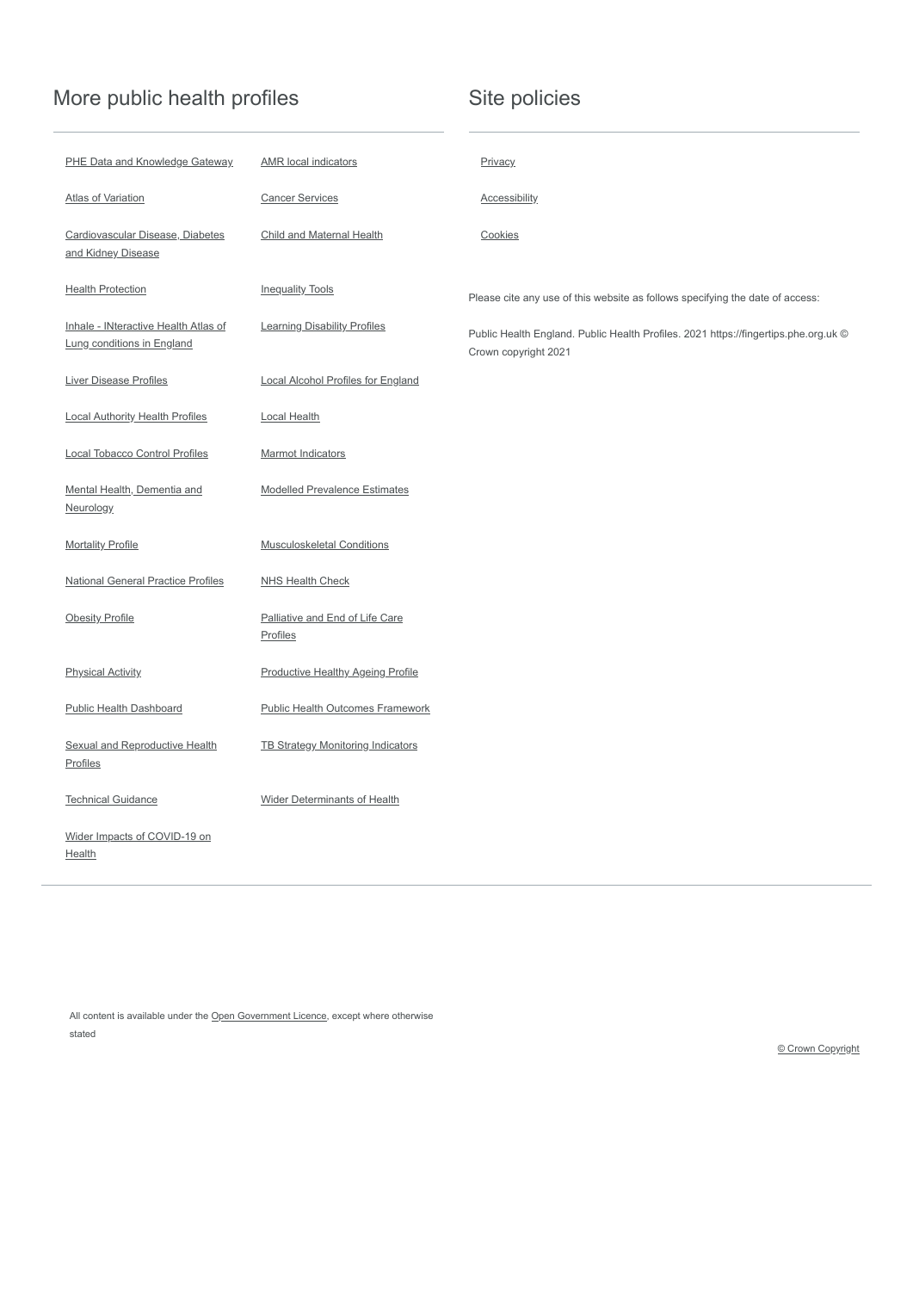### More public health profiles

| PHE Data and Knowledge Gateway                                            | <b>AMR</b> local indicators                 | <b>Privacy</b>                                                                                              |
|---------------------------------------------------------------------------|---------------------------------------------|-------------------------------------------------------------------------------------------------------------|
| <b>Atlas of Variation</b>                                                 | <b>Cancer Services</b>                      | <b>Accessibility</b>                                                                                        |
| Cardiovascular Disease, Diabetes<br>and Kidney Disease                    | <b>Child and Maternal Health</b>            | Cookies                                                                                                     |
| <b>Health Protection</b>                                                  | <b>Inequality Tools</b>                     | Please cite any use of this website as follows specifying the date of access:                               |
| Inhale - INteractive Health Atlas of<br><b>Lung conditions in England</b> | <b>Learning Disability Profiles</b>         | Public Health England. Public Health Profiles. 2021 https://fingertips.phe.org.uk ©<br>Crown copyright 2021 |
| <b>Liver Disease Profiles</b>                                             | <b>Local Alcohol Profiles for England</b>   |                                                                                                             |
| <b>Local Authority Health Profiles</b>                                    | <b>Local Health</b>                         |                                                                                                             |
| <b>Local Tobacco Control Profiles</b>                                     | <b>Marmot Indicators</b>                    |                                                                                                             |
| Mental Health, Dementia and<br><b>Neurology</b>                           | <b>Modelled Prevalence Estimates</b>        |                                                                                                             |
| <b>Mortality Profile</b>                                                  | <b>Musculoskeletal Conditions</b>           |                                                                                                             |
| <b>National General Practice Profiles</b>                                 | <b>NHS Health Check</b>                     |                                                                                                             |
| <b>Obesity Profile</b>                                                    | Palliative and End of Life Care<br>Profiles |                                                                                                             |
| <b>Physical Activity</b>                                                  | <b>Productive Healthy Ageing Profile</b>    |                                                                                                             |
| <b>Public Health Dashboard</b>                                            | <b>Public Health Outcomes Framework</b>     |                                                                                                             |
| <b>Sexual and Reproductive Health</b><br>Profiles                         | <b>TB Strategy Monitoring Indicators</b>    |                                                                                                             |
| <b>Technical Guidance</b>                                                 | <b>Wider Determinants of Health</b>         |                                                                                                             |
| Wider Impacts of COVID-19 on<br><b>Health</b>                             |                                             |                                                                                                             |

All content is available under the Open [Government](http://www.nationalarchives.gov.uk/doc/open-government-licence) Licence, except where otherwise stated

### Site policies

© Crown Copyright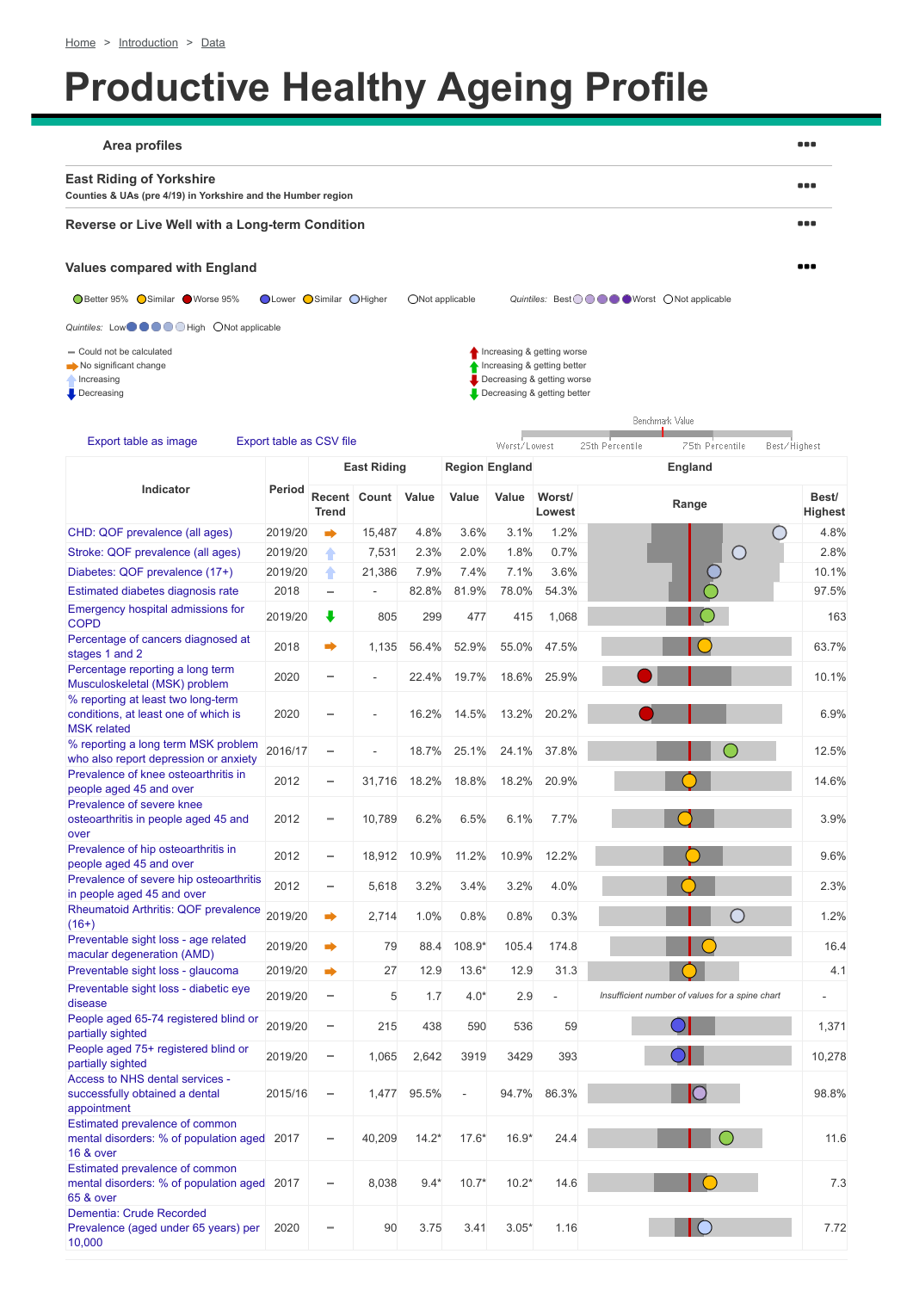<span id="page-5-0"></span>

| <b>Area profiles</b>                                                                                  |                            |                          |                    |              |                 |                                                           |                         |                                                 | 88 C                    |
|-------------------------------------------------------------------------------------------------------|----------------------------|--------------------------|--------------------|--------------|-----------------|-----------------------------------------------------------|-------------------------|-------------------------------------------------|-------------------------|
| <b>East Riding of Yorkshire</b><br>Counties & UAs (pre 4/19) in Yorkshire and the Humber region       |                            |                          |                    |              |                 |                                                           |                         |                                                 | $\bullet$ $\bullet$ (   |
| Reverse or Live Well with a Long-term Condition                                                       |                            |                          |                    |              |                 |                                                           |                         |                                                 | 88 C                    |
| <b>Values compared with England</b>                                                                   |                            |                          |                    |              |                 |                                                           |                         |                                                 |                         |
| <b>O</b> Better 95% Similar ■ Worse 95%                                                               | O Lower O Similar O Higher |                          |                    |              | ONot applicable |                                                           |                         | Quintiles: Best O O O O Worst O Not applicable  |                         |
| Quintiles: Low $\bullet$ $\bullet$ $\bullet$ High ONot applicable                                     |                            |                          |                    |              |                 |                                                           |                         |                                                 |                         |
| - Could not be calculated<br>No significant change                                                    |                            |                          |                    |              |                 | Increasing & getting worse<br>Increasing & getting better |                         |                                                 |                         |
| Increasing<br>$\bullet$ Decreasing                                                                    |                            |                          |                    |              |                 | Decreasing & getting worse<br>Decreasing & getting better |                         |                                                 |                         |
|                                                                                                       |                            |                          |                    |              |                 |                                                           |                         | Benchmark Value                                 |                         |
| Export table as image                                                                                 | Export table as CSV file   |                          |                    |              |                 | Worst/Lowest                                              |                         | 75th Percentile<br>25th Percentile              | Best/Highest            |
|                                                                                                       |                            |                          | <b>East Riding</b> |              |                 | <b>Region England</b>                                     |                         | <b>England</b>                                  |                         |
| <b>Indicator</b>                                                                                      | <b>Period</b>              | <b>Trend</b>             | Recent Count       | <b>Value</b> | <b>Value</b>    | <b>Value</b>                                              | Worst/<br><b>Lowest</b> | Range                                           | Best/<br><b>Highest</b> |
| CHD: QOF prevalence (all ages)                                                                        | 2019/20                    | ∍                        | 15,487             | 4.8%         | 3.6%            | 3.1%                                                      | 1.2%                    |                                                 | 4.8%                    |
| Stroke: QOF prevalence (all ages)                                                                     | 2019/20                    | ٠                        | 7,531              | 2.3%         | 2.0%            | 1.8%                                                      | 0.7%                    | O                                               | 2.8%                    |
| Diabetes: QOF prevalence (17+)                                                                        | 2019/20                    | ٠                        | 21,386             | 7.9%         | 7.4%            | 7.1%                                                      | 3.6%                    |                                                 | 10.1%                   |
| Estimated diabetes diagnosis rate                                                                     | 2018                       |                          |                    | 82.8%        | 81.9%           | 78.0%                                                     | 54.3%                   |                                                 | 97.5%                   |
| Emergency hospital admissions for<br><b>COPD</b>                                                      | 2019/20                    |                          | 805                | 299          | 477             | 415                                                       | 1,068                   |                                                 | 163                     |
| Percentage of cancers diagnosed at<br>stages 1 and 2                                                  | 2018                       | ∙                        | 1,135              | 56.4%        | 52.9%           | 55.0%                                                     | 47.5%                   |                                                 | 63.7%                   |
| Percentage reporting a long term<br>Musculoskeletal (MSK) problem                                     | 2020                       |                          |                    | 22.4%        | 19.7%           | 18.6%                                                     | 25.9%                   |                                                 | 10.1%                   |
| % reporting at least two long-term<br>conditions, at least one of which is<br><b>MSK</b> related      | 2020                       |                          |                    | 16.2%        | 14.5%           | 13.2%                                                     | 20.2%                   |                                                 | 6.9%                    |
| % reporting a long term MSK problem<br>who also report depression or anxiety                          | 2016/17                    | -                        |                    | 18.7%        | 25.1%           | 24.1%                                                     | 37.8%                   |                                                 | 12.5%                   |
| Prevalence of knee osteoarthritis in<br>people aged 45 and over                                       | 2012                       | -                        | 31,716             | 18.2%        | 18.8%           | 18.2%                                                     | 20.9%                   |                                                 | 14.6%                   |
| Prevalence of severe knee<br>osteoarthritis in people aged 45 and                                     | 2012                       | -                        | 10,789             | 6.2%         | 6.5%            | 6.1%                                                      | 7.7%                    |                                                 | 3.9%                    |
| over<br>Prevalence of hip osteoarthritis in<br>people aged 45 and over                                | 2012                       | -                        | 18,912             | 10.9%        | 11.2%           | 10.9%                                                     | 12.2%                   |                                                 | 9.6%                    |
| Prevalence of severe hip osteoarthritis                                                               | 2012                       | -                        | 5,618              | 3.2%         | 3.4%            | 3.2%                                                      | 4.0%                    |                                                 | 2.3%                    |
| in people aged 45 and over<br>Rheumatoid Arthritis: QOF prevalence                                    |                            |                          |                    |              |                 |                                                           |                         |                                                 |                         |
| $(16+)$                                                                                               | 2019/20                    | ➡                        | 2,714              | 1.0%         | 0.8%            | 0.8%                                                      | 0.3%                    | $\Box$                                          | 1.2%                    |
| Preventable sight loss - age related<br>macular degeneration (AMD)                                    | 2019/20                    |                          | 79                 | 88.4         | 108.9*          | 105.4                                                     | 174.8                   |                                                 | 16.4                    |
| Preventable sight loss - glaucoma                                                                     | 2019/20                    | ∙                        | 27                 | 12.9         | $13.6*$         | 12.9                                                      | 31.3                    |                                                 | 4.1                     |
| Preventable sight loss - diabetic eye<br>disease                                                      | 2019/20                    | $\qquad \qquad$          | 5                  | 1.7          | $4.0*$          | 2.9                                                       |                         | Insufficient number of values for a spine chart |                         |
| People aged 65-74 registered blind or<br>partially sighted                                            | 2019/20                    | $\overline{\phantom{a}}$ | 215                | 438          | 590             | 536                                                       | 59                      |                                                 | 1,371                   |
| People aged 75+ registered blind or<br>partially sighted                                              | 2019/20                    | -                        | 1,065              | 2,642        | 3919            | 3429                                                      | 393                     |                                                 | 10,278                  |
| Access to NHS dental services -<br>successfully obtained a dental<br>appointment                      | 2015/16                    |                          | 1,477              | 95.5%        |                 | 94.7%                                                     | 86.3%                   | $\Box$                                          | 98.8%                   |
| Estimated prevalence of common<br>mental disorders: % of population aged 2017<br><b>16 &amp; over</b> |                            |                          | 40,209             | $14.2*$      | $17.6*$         | $16.9*$                                                   | 24.4                    |                                                 | 11.6                    |
| Estimated prevalence of common<br>mental disorders: % of population aged 2017<br><b>65 &amp; over</b> |                            |                          | 8,038              | $9.4*$       | $10.7*$         | $10.2*$                                                   | 14.6                    |                                                 | 7.3                     |
| Dementia: Crude Recorded<br>Prevalence (aged under 65 years) per<br>10,000                            | 2020                       |                          | 90                 | 3.75         | 3.41            | $3.05*$                                                   | 1.16                    |                                                 | 7.72                    |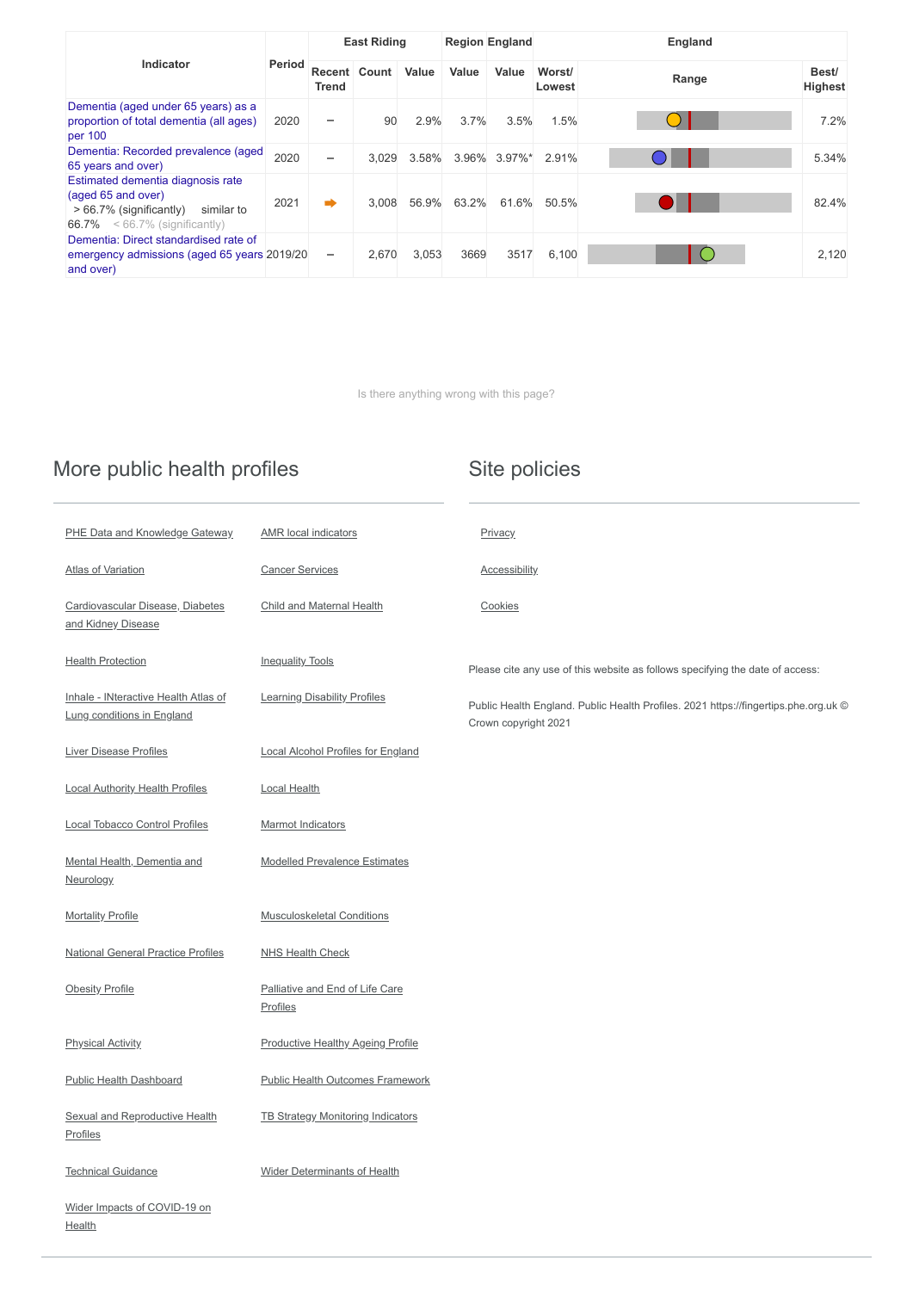| <b>Indicator</b>                                                                                                                    |               | <b>East Riding</b>             |              |              | <b>Region England</b> |              | <b>England</b>   |       |                         |
|-------------------------------------------------------------------------------------------------------------------------------------|---------------|--------------------------------|--------------|--------------|-----------------------|--------------|------------------|-------|-------------------------|
|                                                                                                                                     | <b>Period</b> | <b>Trend</b>                   | Recent Count | <b>Value</b> | <b>Value</b>          | <b>Value</b> | Worst/<br>Lowest | Range | Best/<br><b>Highest</b> |
| Dementia (aged under 65 years) as a<br>proportion of total dementia (all ages)<br>per 100                                           | 2020          | $\overline{\phantom{a}}$       | 90           | 2.9%         | 3.7%                  | 3.5%         | 1.5%             |       | 7.2%                    |
| Dementia: Recorded prevalence (aged<br>65 years and over)                                                                           | 2020          | $\overline{\phantom{0}}$       | 3,029        | 3.58%        |                       | 3.96% 3.97%* | 2.91%            |       | 5.34%                   |
| Estimated dementia diagnosis rate<br>(aged 65 and over)<br>> 66.7% (significantly)<br>similar to<br>66.7% $< 66.7%$ (significantly) | 2021          |                                | 3,008        | 56.9%        | 63.2%                 | 61.6%        | 50.5%            |       | 82.4%                   |
| Dementia: Direct standardised rate of<br>emergency admissions (aged 65 years 2019/20<br>and over)                                   |               | $\qquad \qquad =\qquad \qquad$ | 2,670        | 3,053        | 3669                  | 3517         | 6,100            |       | 2,120                   |

[Is there anything wrong with this page?](#page-5-0)

#### More public health profiles

**[Sexual and Reproductive Health](https://fingertips.phe.org.uk/profile/sexualhealth)** Profiles

**[TB Strategy Monitoring Indicators](https://fingertips.phe.org.uk/profile/tb-monitoring)** 

[Technical Guidance](https://fingertips.phe.org.uk/profile/guidance) [Wider Determinants of Health](https://fingertips.phe.org.uk/profile/wider-determinants)

| <b>PHE Data and Knowledge Gateway</b>                                     | <b>AMR</b> local indicators               | <b>Privacy</b>                                                                                              |  |  |  |  |  |
|---------------------------------------------------------------------------|-------------------------------------------|-------------------------------------------------------------------------------------------------------------|--|--|--|--|--|
| <b>Atlas of Variation</b>                                                 | <b>Cancer Services</b>                    | <b>Accessibility</b>                                                                                        |  |  |  |  |  |
| Cardiovascular Disease, Diabetes<br>and Kidney Disease                    | <b>Child and Maternal Health</b>          | Cookies                                                                                                     |  |  |  |  |  |
| <b>Health Protection</b>                                                  | <b>Inequality Tools</b>                   | Please cite any use of this website as follows specifying the date of access:                               |  |  |  |  |  |
| Inhale - INteractive Health Atlas of<br><b>Lung conditions in England</b> | <b>Learning Disability Profiles</b>       | Public Health England. Public Health Profiles. 2021 https://fingertips.phe.org.uk ©<br>Crown copyright 2021 |  |  |  |  |  |
| <b>Liver Disease Profiles</b>                                             | <b>Local Alcohol Profiles for England</b> |                                                                                                             |  |  |  |  |  |
| <b>Local Authority Health Profiles</b>                                    | <b>Local Health</b>                       |                                                                                                             |  |  |  |  |  |
| Local Tobacco Control Profiles                                            | <b>Marmot Indicators</b>                  |                                                                                                             |  |  |  |  |  |
| Mental Health, Dementia and<br><b>Neurology</b>                           | <b>Modelled Prevalence Estimates</b>      |                                                                                                             |  |  |  |  |  |
| <b>Mortality Profile</b>                                                  | <b>Musculoskeletal Conditions</b>         |                                                                                                             |  |  |  |  |  |
| <b>National General Practice Profiles</b>                                 | <b>NHS Health Check</b>                   |                                                                                                             |  |  |  |  |  |

[Obesity Profile](https://fingertips.phe.org.uk/profile/national-child-measurement-programme) **[Palliative and End of Life Care](https://fingertips.phe.org.uk/profile/end-of-life)** 

Profiles

[Physical Activity](https://fingertips.phe.org.uk/profile/physical-activity) **[Productive Healthy Ageing Profile](https://fingertips.phe.org.uk/profile/healthy-ageing)** 

[Public Health Dashboard](https://healthierlives.phe.org.uk/) [Public Health Outcomes Framework](https://fingertips.phe.org.uk/profile/public-health-outcomes-framework)

[Wider Impacts of COVID-19 on](https://fingertips.phe.org.uk/profile/covid19)

**Health** 

#### Site policies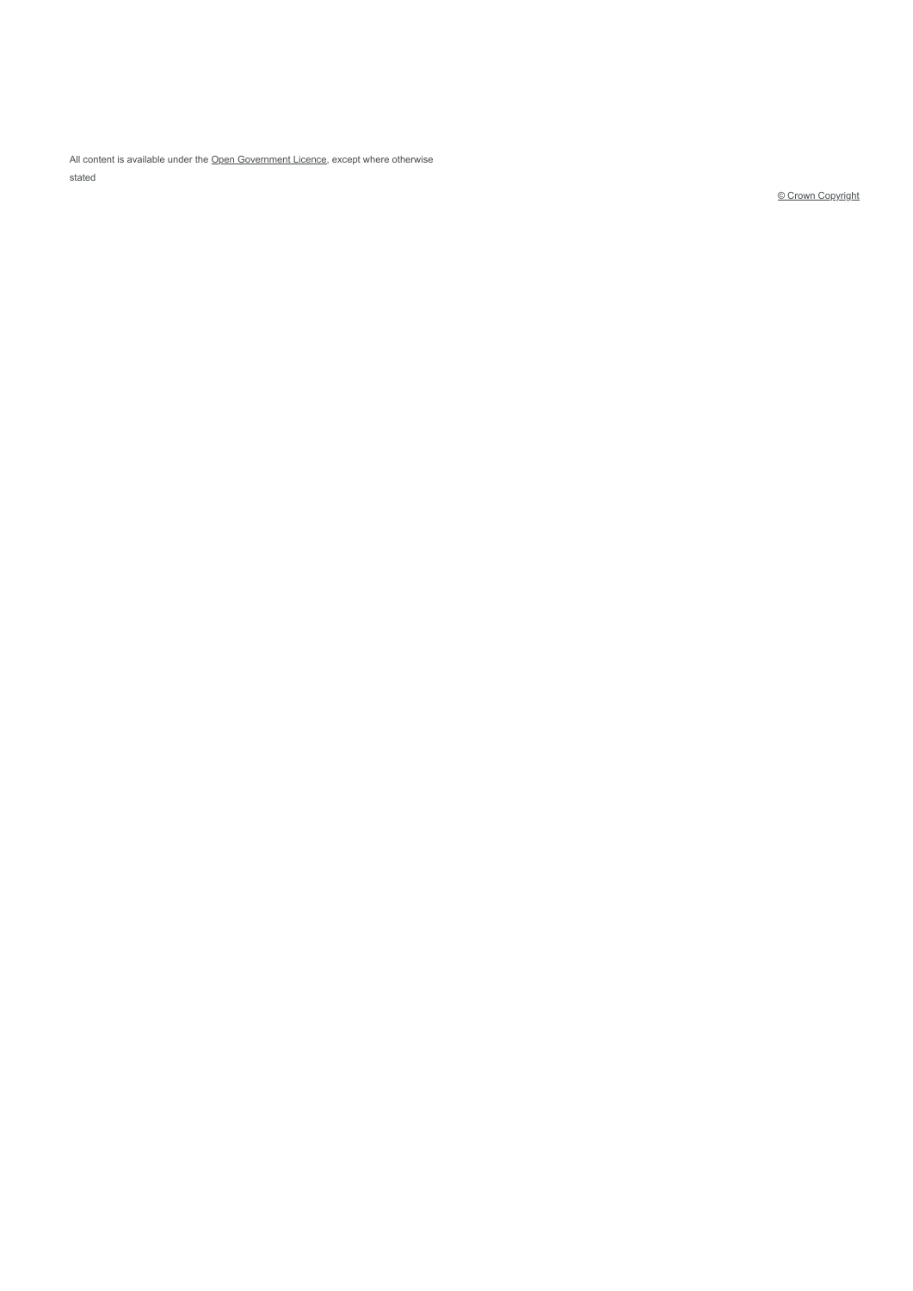All content is available under the <u>Open Government [Lic](http://www.nationalarchives.gov.uk/doc/open-government-licence)ence</u>, except where otherwise stated

<u>© Crown Copyright</u>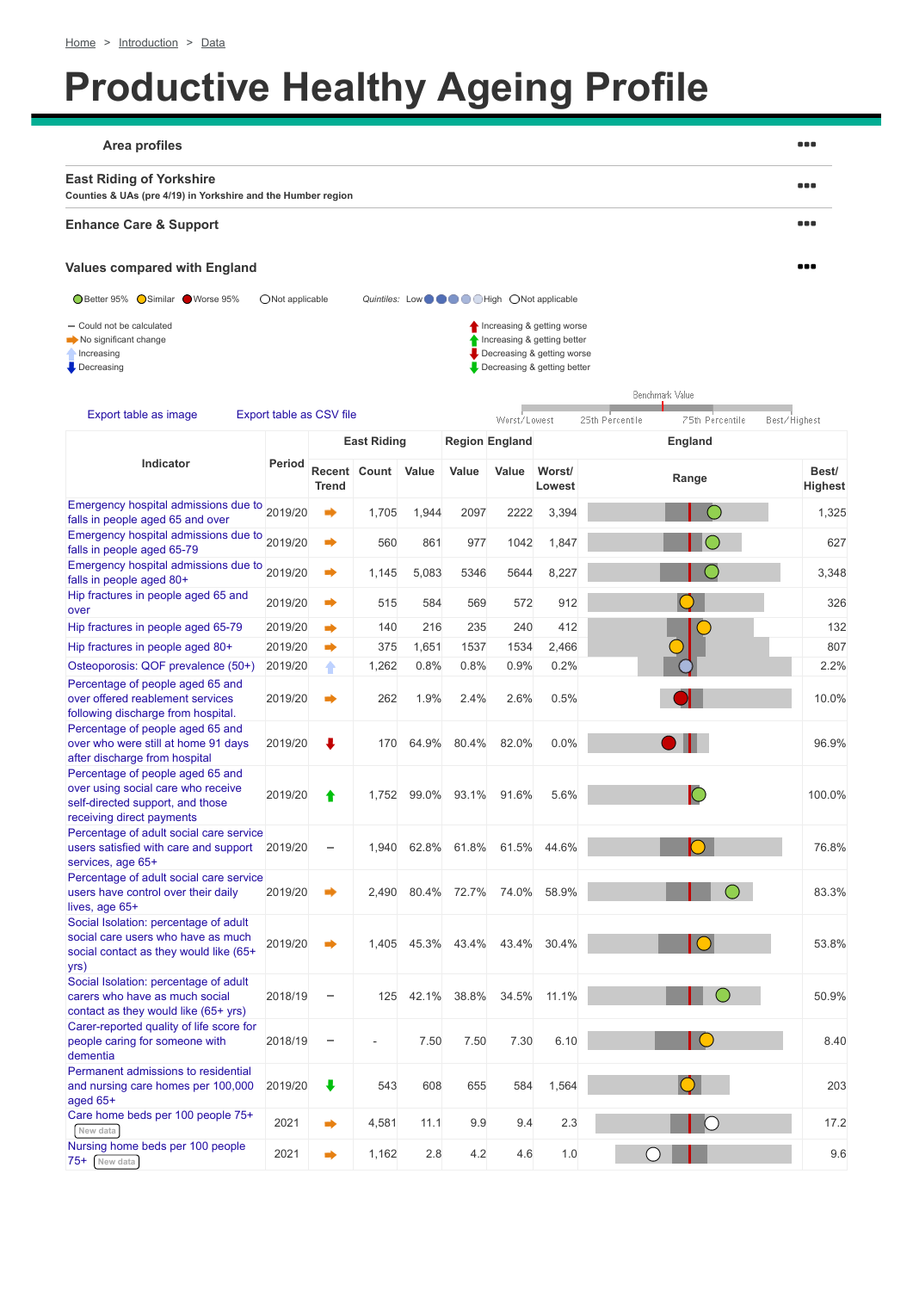<span id="page-8-0"></span>

| <b>Area profiles</b>                                                                                                                                                                                                               |               |                          |                    |              |              |                       |                  |                 |                 | 8 O C                   |
|------------------------------------------------------------------------------------------------------------------------------------------------------------------------------------------------------------------------------------|---------------|--------------------------|--------------------|--------------|--------------|-----------------------|------------------|-----------------|-----------------|-------------------------|
| <b>East Riding of Yorkshire</b><br>Counties & UAs (pre 4/19) in Yorkshire and the Humber region                                                                                                                                    |               |                          |                    |              |              |                       |                  |                 |                 |                         |
| <b>Enhance Care &amp; Support</b>                                                                                                                                                                                                  |               |                          |                    |              |              |                       |                  |                 |                 | <b></b>                 |
| <b>Values compared with England</b>                                                                                                                                                                                                |               |                          |                    |              |              |                       |                  |                 |                 |                         |
| <b>O</b> Better 95% Similar ● Worse 95%<br>Quintiles: Low $\bullet$ $\bullet$ $\bullet$ High ONot applicable<br>ONot applicable                                                                                                    |               |                          |                    |              |              |                       |                  |                 |                 |                         |
| - Could not be calculated<br>Increasing & getting worse<br>Increasing & getting better<br>No significant change<br>Decreasing & getting worse<br>Increasing<br>Decreasing & getting better<br>$\Box$ Decreasing<br>Benchmark Value |               |                          |                    |              |              |                       |                  |                 |                 |                         |
| Export table as image                                                                                                                                                                                                              |               | Export table as CSV file |                    |              |              | Worst/Lowest          |                  | 25th Percentile | 75th Percentile | Best/Highest            |
|                                                                                                                                                                                                                                    |               |                          | <b>East Riding</b> |              |              | <b>Region England</b> |                  |                 | <b>England</b>  |                         |
| <b>Indicator</b>                                                                                                                                                                                                                   | <b>Period</b> | <b>Trend</b>             | Recent Count       | <b>Value</b> | <b>Value</b> | <b>Value</b>          | Worst/<br>Lowest |                 | Range           | Best/<br><b>Highest</b> |
| Emergency hospital admissions due to 2019/20<br>falls in people aged 65 and over                                                                                                                                                   |               | ➡                        | 1,705              | 1,944        | 2097         | 2222                  | 3,394            |                 |                 | 1,325                   |
| Emergency hospital admissions due to<br>falls in people aged 65-79                                                                                                                                                                 | 2019/20       |                          | 560                | 861          | 977          | 1042                  | 1,847            |                 |                 | 627                     |
| Emergency hospital admissions due to 2019/20<br>falls in people aged 80+                                                                                                                                                           |               |                          | 1,145              | 5,083        | 5346         | 5644                  | 8,227            |                 |                 | 3,348                   |
| Hip fractures in people aged 65 and<br>over                                                                                                                                                                                        | 2019/20       |                          | 515                | 584          | 569          | 572                   | 912              |                 |                 | 326                     |
| Hip fractures in people aged 65-79                                                                                                                                                                                                 | 2019/20       |                          | 140                | 216          | 235          | 240                   | 412              |                 |                 | 132                     |
| Hip fractures in people aged 80+                                                                                                                                                                                                   | 2019/20       |                          | 375                | 1,651        | 1537         | 1534                  | 2,466            |                 |                 | 807                     |
| Osteoporosis: QOF prevalence (50+)                                                                                                                                                                                                 | 2019/20       | ٠                        | 1,262              | 0.8%         | 0.8%         | 0.9%                  | 0.2%             |                 |                 | 2.2%                    |
| Percentage of people aged 65 and<br>over offered reablement services<br>following discharge from hospital.                                                                                                                         | 2019/20       |                          | 262                | 1.9%         | 2.4%         | 2.6%                  | 0.5%             |                 |                 | 10.0%                   |
| Percentage of people aged 65 and<br>over who were still at home 91 days<br>after discharge from hospital                                                                                                                           | 2019/20       |                          | 170                | 64.9%        | 80.4%        | 82.0%                 | 0.0%             |                 |                 | 96.9%                   |
| Percentage of people aged 65 and<br>over using social care who receive<br>self-directed support, and those<br>receiving direct payments                                                                                            | 2019/20       | ♠                        | 1,752              | 99.0%        | 93.1%        | 91.6%                 | 5.6%             |                 | $\circ$         | 100.0%                  |
| Percentage of adult social care service<br>users satisfied with care and support<br>services, age 65+                                                                                                                              | 2019/20       | $\qquad \qquad$          | 1,940              | 62.8%        | 61.8%        | 61.5%                 | 44.6%            |                 |                 | 76.8%                   |
| Percentage of adult social care service<br>users have control over their daily<br>lives, age 65+                                                                                                                                   | 2019/20       |                          | 2,490              | 80.4%        | 72.7%        | 74.0%                 | 58.9%            |                 |                 | 83.3%                   |
| Social Isolation: percentage of adult<br>social care users who have as much<br>social contact as they would like (65+<br>yrs)                                                                                                      | 2019/20       |                          | 1,405              |              | 45.3% 43.4%  | 43.4%                 | 30.4%            |                 |                 | 53.8%                   |
| Social Isolation: percentage of adult<br>carers who have as much social<br>contact as they would like (65+ yrs)                                                                                                                    | 2018/19       |                          | 125                | 42.1%        | 38.8%        | 34.5%                 | 11.1%            |                 |                 | 50.9%                   |
| Carer-reported quality of life score for<br>people caring for someone with<br>dementia                                                                                                                                             | 2018/19       |                          |                    | 7.50         | 7.50         | 7.30                  | 6.10             |                 |                 | 8.40                    |
| Permanent admissions to residential<br>and nursing care homes per 100,000<br>aged 65+                                                                                                                                              | 2019/20       |                          | 543                | 608          | 655          | 584                   | 1,564            |                 |                 | 203                     |
| Care home beds per 100 people 75+<br>New data                                                                                                                                                                                      | 2021          |                          | 4,581              | 11.1         | 9.9          | 9.4                   | 2.3              |                 |                 | 17.2                    |
| Nursing home beds per 100 people<br>$75+$ New data                                                                                                                                                                                 | 2021          | ∙                        | 1,162              | 2.8          | 4.2          | 4.6                   | 1.0              |                 |                 | 9.6                     |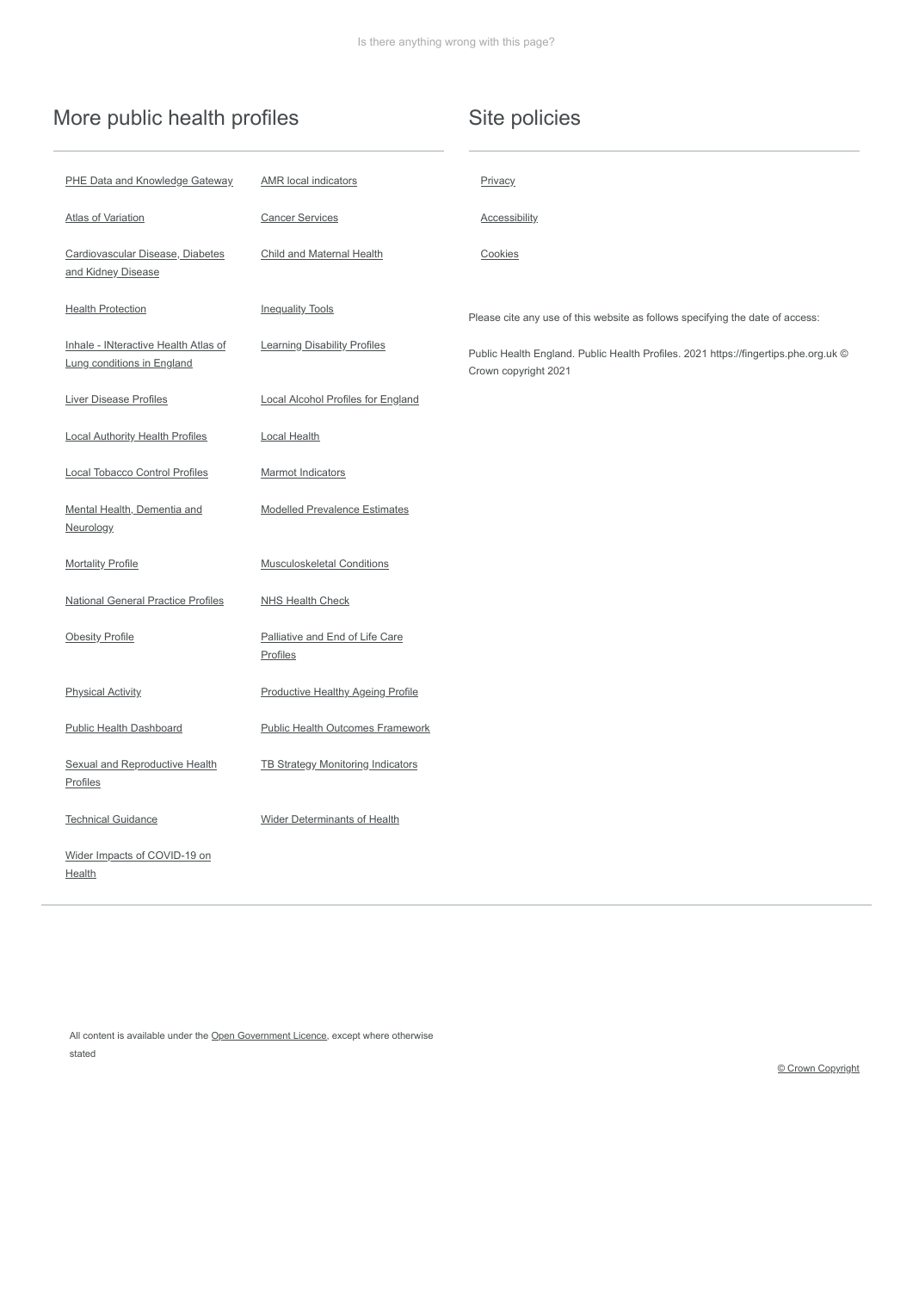### More public health profiles

| PHE Data and Knowledge Gateway                                            | <b>AMR</b> local indicators                 | Privacy                                                                                                     |
|---------------------------------------------------------------------------|---------------------------------------------|-------------------------------------------------------------------------------------------------------------|
| <b>Atlas of Variation</b>                                                 | <b>Cancer Services</b>                      | <b>Accessibility</b>                                                                                        |
| Cardiovascular Disease, Diabetes<br>and Kidney Disease                    | <b>Child and Maternal Health</b>            | Cookies                                                                                                     |
| <b>Health Protection</b>                                                  | <b>Inequality Tools</b>                     | Please cite any use of this website as follows specifying the date of access:                               |
| Inhale - INteractive Health Atlas of<br><b>Lung conditions in England</b> | <b>Learning Disability Profiles</b>         | Public Health England. Public Health Profiles. 2021 https://fingertips.phe.org.uk ©<br>Crown copyright 2021 |
| Liver Disease Profiles                                                    | <b>Local Alcohol Profiles for England</b>   |                                                                                                             |
| <b>Local Authority Health Profiles</b>                                    | <b>Local Health</b>                         |                                                                                                             |
| <b>Local Tobacco Control Profiles</b>                                     | <b>Marmot Indicators</b>                    |                                                                                                             |
| Mental Health, Dementia and<br><b>Neurology</b>                           | <b>Modelled Prevalence Estimates</b>        |                                                                                                             |
| <b>Mortality Profile</b>                                                  | <b>Musculoskeletal Conditions</b>           |                                                                                                             |
| <b>National General Practice Profiles</b>                                 | <b>NHS Health Check</b>                     |                                                                                                             |
| <b>Obesity Profile</b>                                                    | Palliative and End of Life Care<br>Profiles |                                                                                                             |
| <b>Physical Activity</b>                                                  | <b>Productive Healthy Ageing Profile</b>    |                                                                                                             |
| <b>Public Health Dashboard</b>                                            | <b>Public Health Outcomes Framework</b>     |                                                                                                             |
| <b>Sexual and Reproductive Health</b><br>Profiles                         | <b>TB Strategy Monitoring Indicators</b>    |                                                                                                             |
| <b>Technical Guidance</b>                                                 | <b>Wider Determinants of Health</b>         |                                                                                                             |
| Wider Impacts of COVID-19 on<br><b>Health</b>                             |                                             |                                                                                                             |

All content is available under the Open [Government](http://www.nationalarchives.gov.uk/doc/open-government-licence) Licence, except where otherwise

### Site policies

stated

© Crown Copyright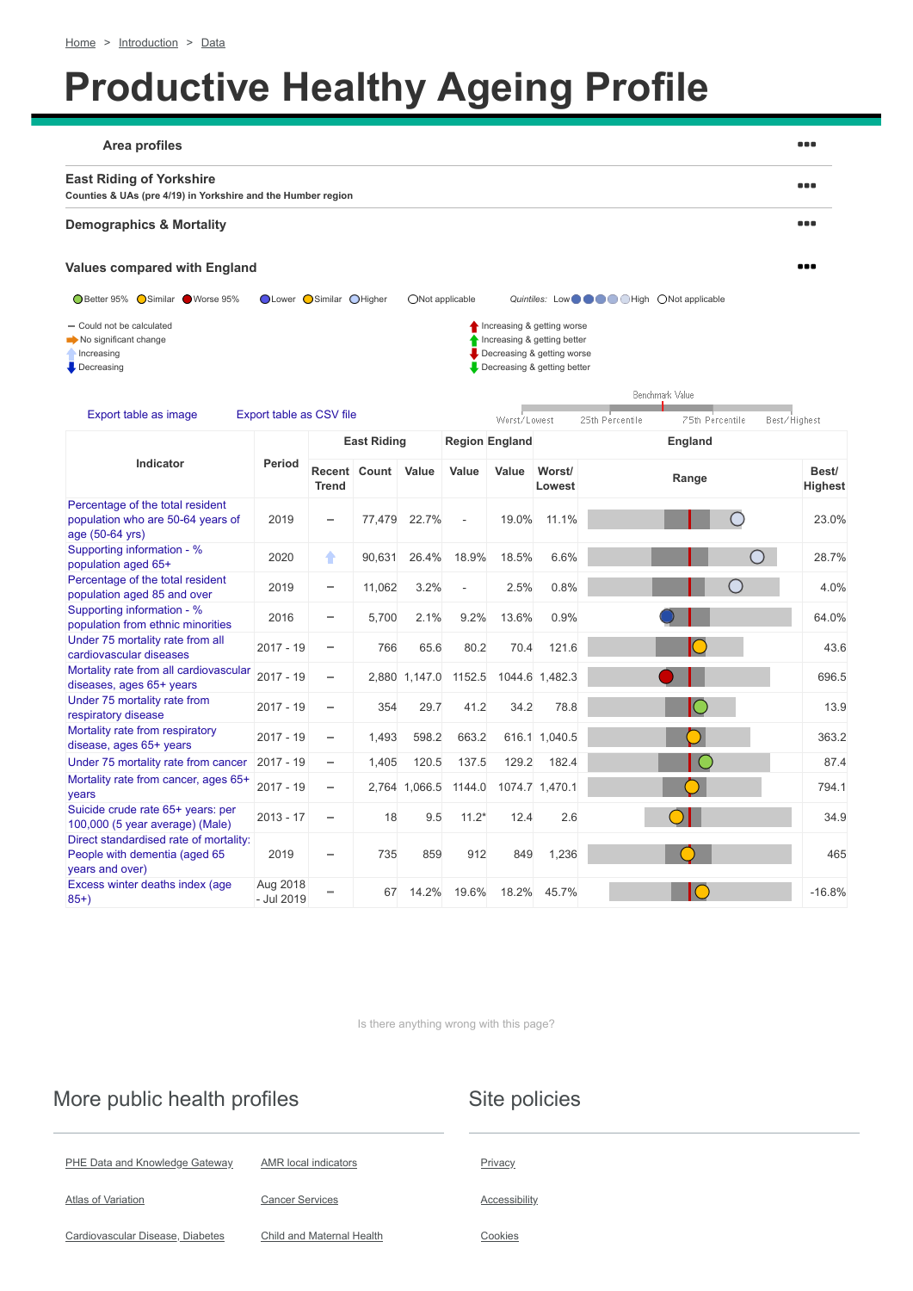<span id="page-10-0"></span>

| <b>Area profiles</b>                                                                                                                                                                                     |                            |                                                |              |               |                          |                                       |                  |                                                                   |                                 | 88 C                    |
|----------------------------------------------------------------------------------------------------------------------------------------------------------------------------------------------------------|----------------------------|------------------------------------------------|--------------|---------------|--------------------------|---------------------------------------|------------------|-------------------------------------------------------------------|---------------------------------|-------------------------|
| <b>East Riding of Yorkshire</b><br>Counties & UAs (pre 4/19) in Yorkshire and the Humber region                                                                                                          |                            |                                                |              |               |                          |                                       |                  |                                                                   |                                 | 8 O C                   |
| <b>Demographics &amp; Mortality</b>                                                                                                                                                                      |                            |                                                |              |               |                          |                                       |                  |                                                                   | 8 O C                           |                         |
| <b>Values compared with England</b>                                                                                                                                                                      |                            |                                                |              |               |                          |                                       |                  |                                                                   |                                 |                         |
| OBetter 95% OSimilar ● Worse 95%                                                                                                                                                                         | O Lower O Similar O Higher |                                                |              |               | ONot applicable          |                                       |                  | Quintiles: Low $\bullet$ $\bullet$ $\bullet$ High ONot applicable |                                 |                         |
| - Could not be calculated<br>Increasing & getting worse<br>No significant change<br>Increasing & getting better<br>Decreasing & getting worse<br>Increasing<br>Decreasing & getting better<br>Decreasing |                            |                                                |              |               |                          |                                       |                  |                                                                   |                                 |                         |
| Export table as image                                                                                                                                                                                    |                            |                                                |              |               |                          |                                       |                  | Benchmark Value                                                   |                                 |                         |
|                                                                                                                                                                                                          |                            | Export table as CSV file<br><b>East Riding</b> |              |               |                          | Worst/Lowest<br><b>Region England</b> |                  | 25th Percentile<br><b>England</b>                                 | 75th Percentile<br>Best/Highest |                         |
| <b>Indicator</b>                                                                                                                                                                                         | <b>Period</b>              | <b>Trend</b>                                   | Recent Count | <b>Value</b>  | <b>Value</b>             | <b>Value</b>                          | Worst/<br>Lowest | Range                                                             |                                 | Best/<br><b>Highest</b> |
| Percentage of the total resident<br>population who are 50-64 years of<br>age (50-64 yrs)                                                                                                                 | 2019                       |                                                | 77,479       | 22.7%         | $\overline{\phantom{a}}$ | 19.0%                                 | 11.1%            |                                                                   |                                 | 23.0%                   |
| Supporting information - %<br>population aged 65+                                                                                                                                                        | 2020                       | ٠                                              | 90,631       | 26.4%         | 18.9%                    | 18.5%                                 | 6.6%             |                                                                   |                                 | 28.7%                   |
| Percentage of the total resident<br>population aged 85 and over                                                                                                                                          | 2019                       | -                                              | 11,062       | 3.2%          |                          | 2.5%                                  | 0.8%             |                                                                   |                                 | 4.0%                    |
| Supporting information - %<br>population from ethnic minorities                                                                                                                                          | 2016                       |                                                | 5,700        | 2.1%          | 9.2%                     | 13.6%                                 | 0.9%             |                                                                   |                                 | 64.0%                   |
| Under 75 mortality rate from all<br>cardiovascular diseases                                                                                                                                              | $2017 - 19$                | -                                              | 766          | 65.6          | 80.2                     | 70.4                                  | 121.6            |                                                                   |                                 | 43.6                    |
| Mortality rate from all cardiovascular<br>diseases, ages 65+ years                                                                                                                                       | $2017 - 19$                | -                                              |              | 2,880 1,147.0 | 1152.5                   |                                       | 1044.6 1,482.3   |                                                                   |                                 | 696.5                   |
| Under 75 mortality rate from<br>respiratory disease                                                                                                                                                      | $2017 - 19$                | -                                              | 354          | 29.7          | 41.2                     | 34.2                                  | 78.8             |                                                                   |                                 | 13.9                    |
| Mortality rate from respiratory<br>disease, ages 65+ years                                                                                                                                               | $2017 - 19$                | -                                              | 1,493        | 598.2         | 663.2                    |                                       | 616.1 1,040.5    |                                                                   |                                 | 363.2                   |
| Under 75 mortality rate from cancer                                                                                                                                                                      | 2017 - 19                  | $\qquad \qquad =\qquad \qquad$                 | 1,405        | 120.5         | 137.5                    | 129.2                                 | 182.4            |                                                                   |                                 | 87.4                    |
| Mortality rate from cancer, ages 65+<br>years                                                                                                                                                            | $2017 - 19$                | -                                              |              | 2,764 1,066.5 | 1144.0                   |                                       | 1074.7 1,470.1   |                                                                   |                                 | 794.1                   |
| Suicide crude rate 65+ years: per<br>100,000 (5 year average) (Male)                                                                                                                                     | $2013 - 17$                |                                                | 18           | 9.5           | $11.2*$                  | 12.4                                  | 2.6              |                                                                   |                                 | 34.9                    |
| Direct standardised rate of mortality:<br>People with dementia (aged 65<br>years and over)                                                                                                               | 2019                       |                                                | 735          | 859           | 912                      | 849                                   | 1,236            |                                                                   |                                 | 465                     |
| Excess winter deaths index (age<br>$85+)$                                                                                                                                                                | Aug 2018<br>- Jul 2019     |                                                | 67           | 14.2%         | 19.6%                    | 18.2%                                 | 45.7%            |                                                                   |                                 | $-16.8%$                |

[Is there anything wrong with this page?](#page-10-0)

#### More public health profiles

#### Site policies

**[Privacy](https://fingertips.phe.org.uk/information/site-privacy-notice)** 

**[Cookies](https://fingertips.phe.org.uk/information/site-cookies)** 

**[Accessibility](https://fingertips.phe.org.uk/information/site-accessibility-statement)** 

| <b>PHE Data and Knowledge Gateway</b> | AMR local indicators      |
|---------------------------------------|---------------------------|
| Atlas of Variation                    | <b>Cancer Services</b>    |
| Cardiovascular Disease, Diabetes      | Child and Maternal Health |